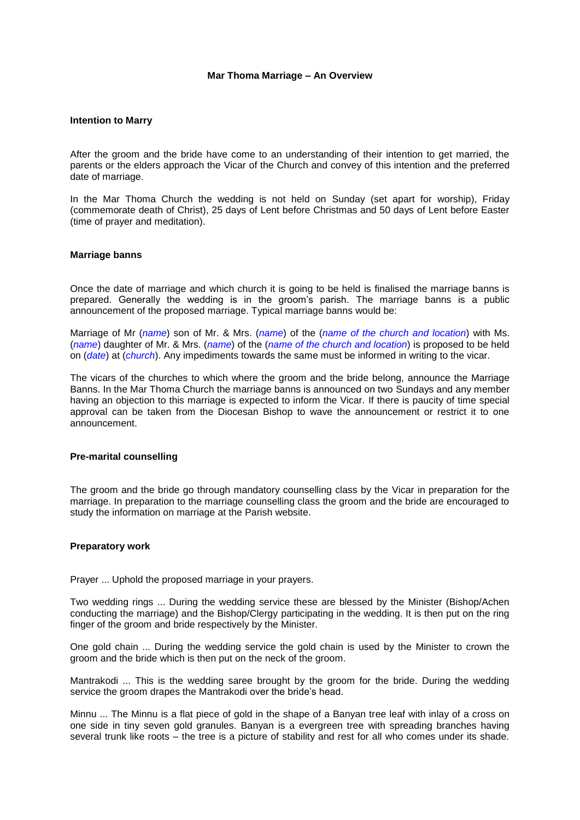#### **Mar Thoma Marriage – An Overview**

#### **Intention to Marry**

After the groom and the bride have come to an understanding of their intention to get married, the parents or the elders approach the Vicar of the Church and convey of this intention and the preferred date of marriage.

In the Mar Thoma Church the wedding is not held on Sunday (set apart for worship), Friday (commemorate death of Christ), 25 days of Lent before Christmas and 50 days of Lent before Easter (time of prayer and meditation).

#### **Marriage banns**

Once the date of marriage and which church it is going to be held is finalised the marriage banns is prepared. Generally the wedding is in the groom"s parish. The marriage banns is a public announcement of the proposed marriage. Typical marriage banns would be:

Marriage of Mr (*name*) son of Mr. & Mrs. (*name*) of the (*name of the church and location*) with Ms. (*name*) daughter of Mr. & Mrs. (*name*) of the (*name of the church and location*) is proposed to be held on (*date*) at (*church*). Any impediments towards the same must be informed in writing to the vicar.

The vicars of the churches to which where the groom and the bride belong, announce the Marriage Banns. In the Mar Thoma Church the marriage banns is announced on two Sundays and any member having an objection to this marriage is expected to inform the Vicar. If there is paucity of time special approval can be taken from the Diocesan Bishop to wave the announcement or restrict it to one announcement.

#### **Pre-marital counselling**

The groom and the bride go through mandatory counselling class by the Vicar in preparation for the marriage. In preparation to the marriage counselling class the groom and the bride are encouraged to study the information on marriage at the Parish website.

### **Preparatory work**

Prayer ... Uphold the proposed marriage in your prayers.

Two wedding rings ... During the wedding service these are blessed by the Minister (Bishop/Achen conducting the marriage) and the Bishop/Clergy participating in the wedding. It is then put on the ring finger of the groom and bride respectively by the Minister.

One gold chain ... During the wedding service the gold chain is used by the Minister to crown the groom and the bride which is then put on the neck of the groom.

Mantrakodi ... This is the wedding saree brought by the groom for the bride. During the wedding service the groom drapes the Mantrakodi over the bride's head.

Minnu ... The Minnu is a flat piece of gold in the shape of a Banyan tree leaf with inlay of a cross on one side in tiny seven gold granules. Banyan is a evergreen tree with spreading branches having several trunk like roots – the tree is a picture of stability and rest for all who comes under its shade.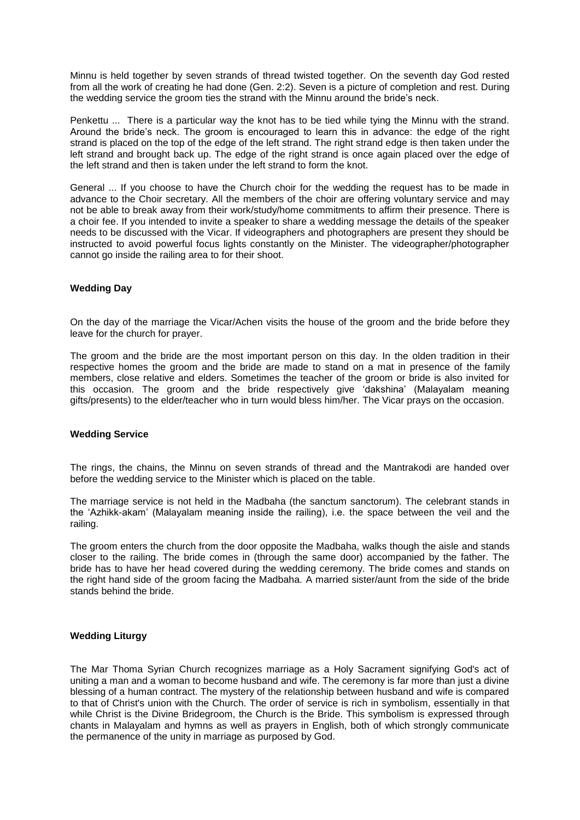Minnu is held together by seven strands of thread twisted together. On the seventh day God rested from all the work of creating he had done (Gen. 2:2). Seven is a picture of completion and rest. During the wedding service the groom ties the strand with the Minnu around the bride"s neck.

Penkettu ... There is a particular way the knot has to be tied while tying the Minnu with the strand. Around the bride"s neck. The groom is encouraged to learn this in advance: the edge of the right strand is placed on the top of the edge of the left strand. The right strand edge is then taken under the left strand and brought back up. The edge of the right strand is once again placed over the edge of the left strand and then is taken under the left strand to form the knot.

General ... If you choose to have the Church choir for the wedding the request has to be made in advance to the Choir secretary. All the members of the choir are offering voluntary service and may not be able to break away from their work/study/home commitments to affirm their presence. There is a choir fee. If you intended to invite a speaker to share a wedding message the details of the speaker needs to be discussed with the Vicar. If videographers and photographers are present they should be instructed to avoid powerful focus lights constantly on the Minister. The videographer/photographer cannot go inside the railing area to for their shoot.

### **Wedding Day**

On the day of the marriage the Vicar/Achen visits the house of the groom and the bride before they leave for the church for prayer.

The groom and the bride are the most important person on this day. In the olden tradition in their respective homes the groom and the bride are made to stand on a mat in presence of the family members, close relative and elders. Sometimes the teacher of the groom or bride is also invited for this occasion. The groom and the bride respectively give "dakshina" (Malayalam meaning gifts/presents) to the elder/teacher who in turn would bless him/her. The Vicar prays on the occasion.

### **Wedding Service**

The rings, the chains, the Minnu on seven strands of thread and the Mantrakodi are handed over before the wedding service to the Minister which is placed on the table.

The marriage service is not held in the Madbaha (the sanctum sanctorum). The celebrant stands in the "Azhikk-akam" (Malayalam meaning inside the railing), i.e. the space between the veil and the railing.

The groom enters the church from the door opposite the Madbaha, walks though the aisle and stands closer to the railing. The bride comes in (through the same door) accompanied by the father. The bride has to have her head covered during the wedding ceremony. The bride comes and stands on the right hand side of the groom facing the Madbaha. A married sister/aunt from the side of the bride stands behind the bride.

### **Wedding Liturgy**

The Mar Thoma Syrian Church recognizes marriage as a Holy Sacrament signifying God's act of uniting a man and a woman to become husband and wife. The ceremony is far more than just a divine blessing of a human contract. The mystery of the relationship between husband and wife is compared to that of Christ's union with the Church. The order of service is rich in symbolism, essentially in that while Christ is the Divine Bridegroom, the Church is the Bride. This symbolism is expressed through chants in Malayalam and hymns as well as prayers in English, both of which strongly communicate the permanence of the unity in marriage as purposed by God.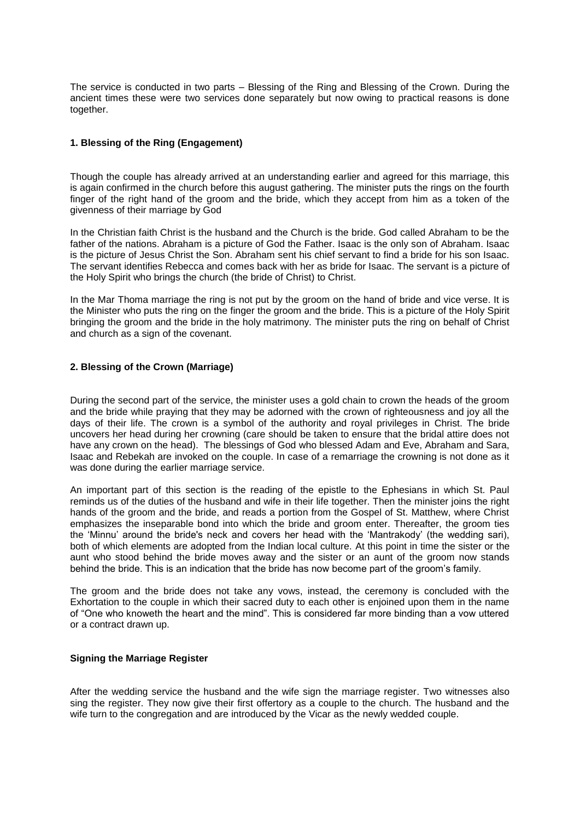The service is conducted in two parts – Blessing of the Ring and Blessing of the Crown. During the ancient times these were two services done separately but now owing to practical reasons is done together.

# **1. Blessing of the Ring (Engagement)**

Though the couple has already arrived at an understanding earlier and agreed for this marriage, this is again confirmed in the church before this august gathering. The minister puts the rings on the fourth finger of the right hand of the groom and the bride, which they accept from him as a token of the givenness of their marriage by God

In the Christian faith Christ is the husband and the Church is the bride. God called Abraham to be the father of the nations. Abraham is a picture of God the Father. Isaac is the only son of Abraham. Isaac is the picture of Jesus Christ the Son. Abraham sent his chief servant to find a bride for his son Isaac. The servant identifies Rebecca and comes back with her as bride for Isaac. The servant is a picture of the Holy Spirit who brings the church (the bride of Christ) to Christ.

In the Mar Thoma marriage the ring is not put by the groom on the hand of bride and vice verse. It is the Minister who puts the ring on the finger the groom and the bride. This is a picture of the Holy Spirit bringing the groom and the bride in the holy matrimony. The minister puts the ring on behalf of Christ and church as a sign of the covenant.

# **2. Blessing of the Crown (Marriage)**

During the second part of the service, the minister uses a gold chain to crown the heads of the groom and the bride while praying that they may be adorned with the crown of righteousness and joy all the days of their life. The crown is a symbol of the authority and royal privileges in Christ. The bride uncovers her head during her crowning (care should be taken to ensure that the bridal attire does not have any crown on the head). The blessings of God who blessed Adam and Eve, Abraham and Sara, Isaac and Rebekah are invoked on the couple. In case of a remarriage the crowning is not done as it was done during the earlier marriage service.

An important part of this section is the reading of the epistle to the Ephesians in which St. Paul reminds us of the duties of the husband and wife in their life together. Then the minister joins the right hands of the groom and the bride, and reads a portion from the Gospel of St. Matthew, where Christ emphasizes the inseparable bond into which the bride and groom enter. Thereafter, the groom ties the "Minnu" around the bride's neck and covers her head with the "Mantrakody" (the wedding sari), both of which elements are adopted from the Indian local culture. At this point in time the sister or the aunt who stood behind the bride moves away and the sister or an aunt of the groom now stands behind the bride. This is an indication that the bride has now become part of the groom"s family.

The groom and the bride does not take any vows, instead, the ceremony is concluded with the Exhortation to the couple in which their sacred duty to each other is enjoined upon them in the name of "One who knoweth the heart and the mind". This is considered far more binding than a vow uttered or a contract drawn up.

### **Signing the Marriage Register**

After the wedding service the husband and the wife sign the marriage register. Two witnesses also sing the register. They now give their first offertory as a couple to the church. The husband and the wife turn to the congregation and are introduced by the Vicar as the newly wedded couple.